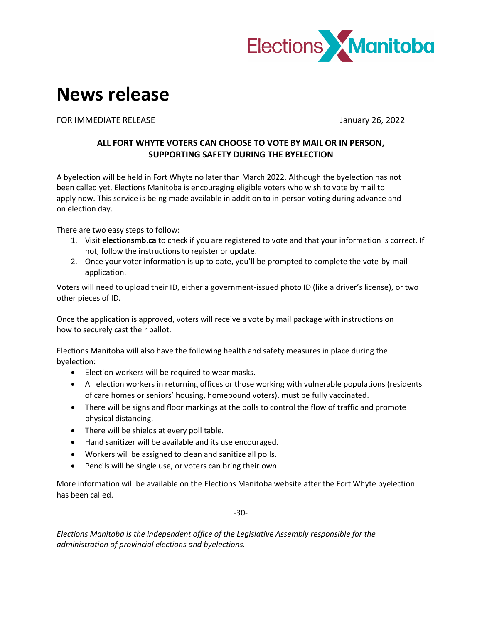

## **News release**

FOR IMMEDIATE RELEASE **FOR IMMEDIATE RELEASE January 26, 2022** 

## **ALL FORT WHYTE VOTERS CAN CHOOSE TO VOTE BY MAIL OR IN PERSON, SUPPORTING SAFETY DURING THE BYELECTION**

A byelection will be held in Fort Whyte no later than March 2022. Although the byelection has not been called yet, Elections Manitoba is encouraging eligible voters who wish to vote by mail to apply now. This service is being made available in addition to in-person voting during advance and on election day.

There are two easy steps to follow:

- 1. Visit **electionsmb.ca** to check if you are registered to vote and that your information is correct. If not, follow the instructions to register or update.
- 2. Once your voter information is up to date, you'll be prompted to complete the vote-by-mail application.

Voters will need to upload their ID, either a government-issued photo ID (like a driver's license), or two other pieces of ID.

Once the application is approved, voters will receive a vote by mail package with instructions on how to securely cast their ballot.

Elections Manitoba will also have the following health and safety measures in place during the byelection:

- Election workers will be required to wear masks.
- All election workers in returning offices or those working with vulnerable populations (residents of care homes or seniors' housing, homebound voters), must be fully vaccinated.
- There will be signs and floor markings at the polls to control the flow of traffic and promote physical distancing.
- There will be shields at every poll table.
- Hand sanitizer will be available and its use encouraged.
- Workers will be assigned to clean and sanitize all polls.
- Pencils will be single use, or voters can bring their own.

More information will be available on the Elections Manitoba website after the Fort Whyte byelection has been called.

-30-

*Elections Manitoba is the independent office of the Legislative Assembly responsible for the administration of provincial elections and byelections.*